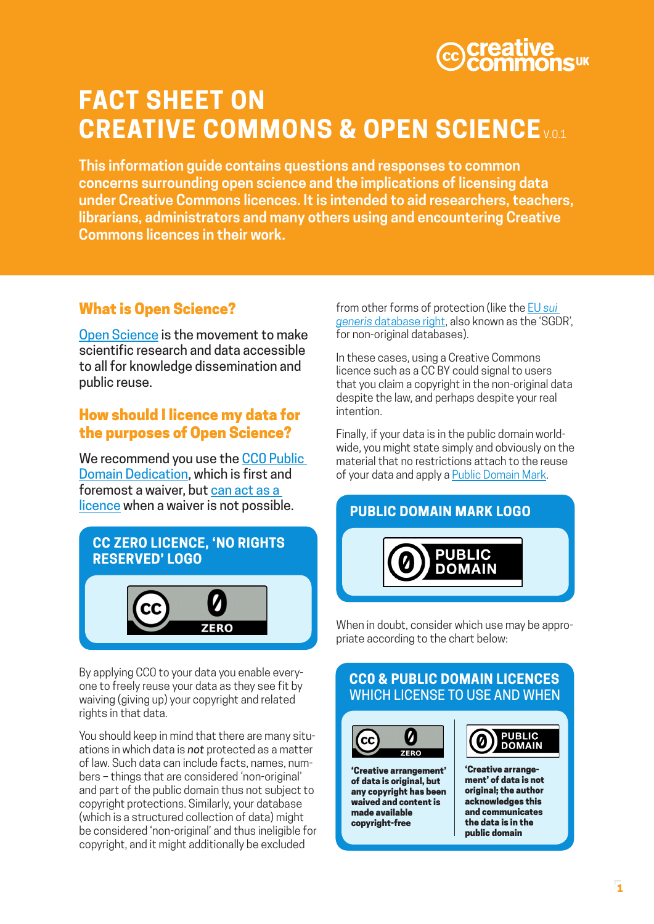# UK

# **FACT SHEET ON CREATIVE COMMONS & OPEN SCIENCE** v.0.1

**This information guide contains questions and responses to common concerns surrounding open science and the implications of licensing data under Creative Commons licences. It is intended to aid researchers, teachers, librarians, administrators and many others using and encountering Creative Commons licences in their work.**

# What is Open Science?

[Open Science](http://www.unesco.org/new/en/communication-and-information/portals-and-platforms/goap/open-science-movement/) is the movement to make scientific research and data accessible to all for knowledge dissemination and public reuse.

### How should I licence my data for the purposes of Open Science?

We recommend you use the CCO Public [Domain Dedication](https://creativecommons.org/publicdomain/zero/1.0/), which is first and foremost a waiver, but can act as a [licence](https://wiki.creativecommons.org/wiki/CC0_FAQ) when a waiver is not possible.



By applying CC0 to your data you enable everyone to freely reuse your data as they see fit by waiving (giving up) your copyright and related rights in that data.

You should keep in mind that there are many situations in which data is *not* protected as a matter of law. Such data can include facts, names, numbers – things that are considered 'non-original' and part of the public domain thus not subject to copyright protections. Similarly, your database (which is a structured collection of data) might be considered 'non-original' and thus ineligible for copyright, and it might additionally be excluded

from other forms of protection (like the EU *[sui](http://ec.europa.eu/internal_market/copyright/prot-databases/index_en.htm)  generis* [database right](http://ec.europa.eu/internal_market/copyright/prot-databases/index_en.htm), also known as the 'SGDR', for non-original databases).

In these cases, using a Creative Commons licence such as a CC BY could signal to users that you claim a copyright in the non-original data despite the law, and perhaps despite your real intention.

Finally, if your data is in the public domain worldwide, you might state simply and obviously on the material that no restrictions attach to the reuse of your data and apply a [Public Domain Mark](https://creativecommons.org/choose/mark/).



When in doubt, consider which use may be appropriate according to the chart below:

# **CC0 & PUBLIC DOMAIN LICENCES** WHICH LICENSE TO USE AND WHEN



'Creative arrangement' of data is original, but any copyright has been waived and content is made available copyright-free

**PUBLIC DOMAIN** 

'Creative arrangement' of data is not original; the author acknowledges this and communicates the data is in the public domain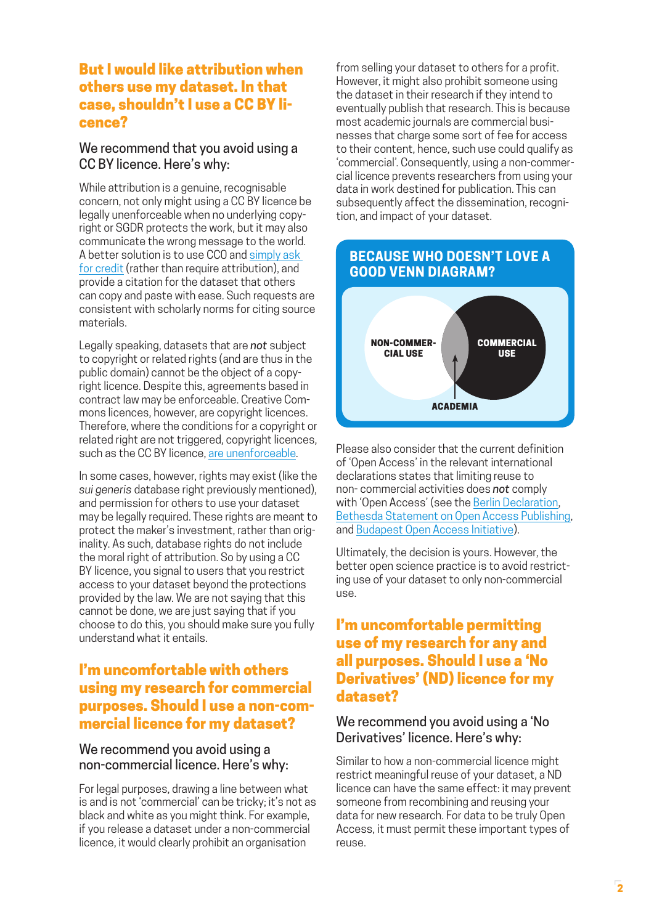#### But I would like attribution when others use my dataset. In that case, shouldn't I use a CC BY licence?

#### We recommend that you avoid using a CC BY licence. Here's why:

While attribution is a genuine, recognisable concern, not only might using a CC BY licence be legally unenforceable when no underlying copyright or SGDR protects the work, but it may also communicate the wrong message to the world. A better solution is to use CC0 and [simply ask](https://wiki.creativecommons.org/wiki/Best_practices_for_attribution)  [for credit](https://wiki.creativecommons.org/wiki/Best_practices_for_attribution) (rather than require attribution), and provide a citation for the dataset that others can copy and paste with ease. Such requests are consistent with scholarly norms for citing source materials.

Legally speaking, datasets that are *not* subject to copyright or related rights (and are thus in the public domain) cannot be the object of a copyright licence. Despite this, agreements based in contract law may be enforceable. Creative Commons licences, however, are copyright licences. Therefore, where the conditions for a copyright or related right are not triggered, copyright licences, such as the CC BY licence, [are unenforceable](http://pro.europeana.eu/files/Europeana_Professional/Aggregation/Europeana%2520-%2520Publication%2520Policy.pdf).

In some cases, however, rights may exist (like the *sui generis* database right previously mentioned), and permission for others to use your dataset may be legally required. These rights are meant to protect the maker's investment, rather than originality. As such, database rights do not include the moral right of attribution. So by using a CC BY licence, you signal to users that you restrict access to your dataset beyond the protections provided by the law. We are not saying that this cannot be done, we are just saying that if you choose to do this, you should make sure you fully understand what it entails.

#### I'm uncomfortable with others using my research for commercial purposes. Should I use a non-commercial licence for my dataset?

#### We recommend you avoid using a non-commercial licence. Here's why:

For legal purposes, drawing a line between what is and is not 'commercial' can be tricky; it's not as black and white as you might think. For example, if you release a dataset under a non-commercial licence, it would clearly prohibit an organisation

from selling your dataset to others for a profit. However, it might also prohibit someone using the dataset in their research if they intend to eventually publish that research. This is because most academic journals are commercial businesses that charge some sort of fee for access to their content, hence, such use could qualify as 'commercial'. Consequently, using a non-commercial licence prevents researchers from using your data in work destined for publication. This can subsequently affect the dissemination, recognition, and impact of your dataset.

# **BECAUSE WHO DOESN'T LOVE A GOOD VENN DIAGRAM?**



Please also consider that the current definition of 'Open Access' in the relevant international declarations states that limiting reuse to non- commercial activities does *not* comply with 'Open Access' (see the [Berlin Declaration](https://openaccess.mpg.de/Berlin-Declaration), [Bethesda Statement on Open Access Publishing](http://legacy.earlham.edu/~peters/fos/bethesda.htm), and [Budapest Open Access Initiative\)](http://www.budapestopenaccessinitiative.org/).

Ultimately, the decision is yours. However, the better open science practice is to avoid restricting use of your dataset to only non-commercial use.

#### I'm uncomfortable permitting use of my research for any and all purposes. Should I use a 'No Derivatives' (ND) licence for my dataset?

#### We recommend you avoid using a 'No Derivatives' licence. Here's why:

Similar to how a non-commercial licence might restrict meaningful reuse of your dataset, a ND licence can have the same effect: it may prevent someone from recombining and reusing your data for new research. For data to be truly Open Access, it must permit these important types of reuse.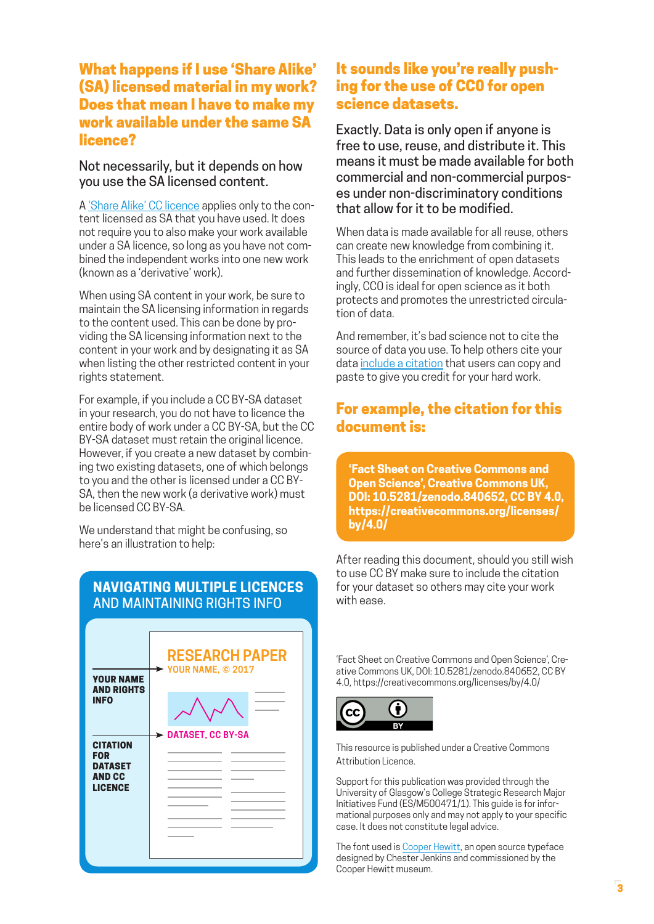#### What happens if I use 'Share Alike' (SA) licensed material in my work? Does that mean I have to make my work available under the same SA licence?

#### Not necessarily, but it depends on how you use the SA licensed content.

A ['Share Alike' CC licence](https://creativecommons.org/licenses/by-sa/2.5/) applies only to the content licensed as SA that you have used. It does not require you to also make your work available under a SA licence, so long as you have not combined the independent works into one new work (known as a 'derivative' work).

When using SA content in your work, be sure to maintain the SA licensing information in regards to the content used. This can be done by providing the SA licensing information next to the content in your work and by designating it as SA when listing the other restricted content in your rights statement.

For example, if you include a CC BY-SA dataset in your research, you do not have to licence the entire body of work under a CC BY-SA, but the CC BY-SA dataset must retain the original licence. However, if you create a new dataset by combining two existing datasets, one of which belongs to you and the other is licensed under a CC BY-SA, then the new work (a derivative work) must be licensed CC BY-SA.

We understand that might be confusing, so here's an illustration to help:

#### **NAVIGATING MULTIPLE LICENCES** AND MAINTAINING RIGHTS INFO



### It sounds like you're really pushing for the use of CC0 for open science datasets.

Exactly. Data is only open if anyone is free to use, reuse, and distribute it. This means it must be made available for both commercial and non-commercial purposes under non-discriminatory conditions that allow for it to be modified.

When data is made available for all reuse, others can create new knowledge from combining it. This leads to the enrichment of open datasets and further dissemination of knowledge. Accordingly, CC0 is ideal for open science as it both protects and promotes the unrestricted circulation of data.

And remember, it's bad science not to cite the source of data you use. To help others cite your data [include a citation](http://www.dcc.ac.uk/resources/how-guides/cite-datasets) that users can copy and paste to give you credit for your hard work.

# For example, the citation for this document is:

**'Fact Sheet on Creative Commons and Open Science', Creative Commons UK, DOI: 10.5281/zenodo.840652, CC BY 4.0, https://creativecommons.org/licenses/ by/4.0/**

After reading this document, should you still wish to use CC BY make sure to include the citation for your dataset so others may cite your work with ease.

'Fact Sheet on Creative Commons and Open Science', Creative Commons UK, DOI: 10.5281/zenodo.840652, CC BY 4.0, https://creativecommons.org/licenses/by/4.0/



This resource is published under a Creative Commons Attribution Licence.

Support for this publication was provided through the University of Glasgow's College Strategic Research Major Initiatives Fund (ES/M500471/1). This guide is for informational purposes only and may not apply to your specific case. It does not constitute legal advice.

The font used is [Cooper Hewitt](https://www.cooperhewitt.org/open-source-at-cooper-hewitt/cooper-hewitt-the-typeface-by-chester-jenkins/), an open source typeface designed by Chester Jenkins and commissioned by the Cooper Hewitt museum.